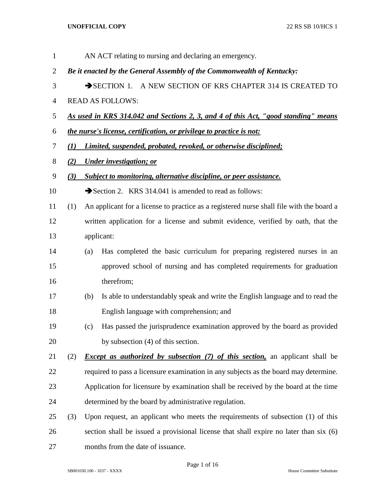| $\mathbf{1}$   |     |     | AN ACT relating to nursing and declaring an emergency.                                   |
|----------------|-----|-----|------------------------------------------------------------------------------------------|
| $\overline{2}$ |     |     | Be it enacted by the General Assembly of the Commonwealth of Kentucky:                   |
| 3              |     |     | SECTION 1. A NEW SECTION OF KRS CHAPTER 314 IS CREATED TO                                |
| $\overline{4}$ |     |     | <b>READ AS FOLLOWS:</b>                                                                  |
| 5              |     |     | As used in KRS 314.042 and Sections 2, 3, and 4 of this Act, "good standing" means       |
| 6              |     |     | the nurse's license, certification, or privilege to practice is not:                     |
| 7              | (I) |     | Limited, suspended, probated, revoked, or otherwise disciplined;                         |
| 8              | (2) |     | <b>Under investigation; or</b>                                                           |
| 9              | (3) |     | Subject to monitoring, alternative discipline, or peer assistance.                       |
| 10             |     |     | Section 2. KRS 314.041 is amended to read as follows:                                    |
| 11             | (1) |     | An applicant for a license to practice as a registered nurse shall file with the board a |
| 12             |     |     | written application for a license and submit evidence, verified by oath, that the        |
| 13             |     |     | applicant:                                                                               |
| 14             |     | (a) | Has completed the basic curriculum for preparing registered nurses in an                 |
| 15             |     |     | approved school of nursing and has completed requirements for graduation                 |
| 16             |     |     | therefrom;                                                                               |
| 17             |     | (b) | Is able to understandably speak and write the English language and to read the           |
| 18             |     |     | English language with comprehension; and                                                 |
| 19             |     | (c) | Has passed the jurisprudence examination approved by the board as provided               |
| 20             |     |     | by subsection (4) of this section.                                                       |
| 21             | (2) |     | <i>Except as authorized by subsection (7) of this section</i> , an applicant shall be    |
| 22             |     |     | required to pass a licensure examination in any subjects as the board may determine.     |
| 23             |     |     | Application for licensure by examination shall be received by the board at the time      |
| 24             |     |     | determined by the board by administrative regulation.                                    |
| 25             | (3) |     | Upon request, an applicant who meets the requirements of subsection (1) of this          |
| 26             |     |     | section shall be issued a provisional license that shall expire no later than six (6)    |
| 27             |     |     | months from the date of issuance.                                                        |

Page 1 of 16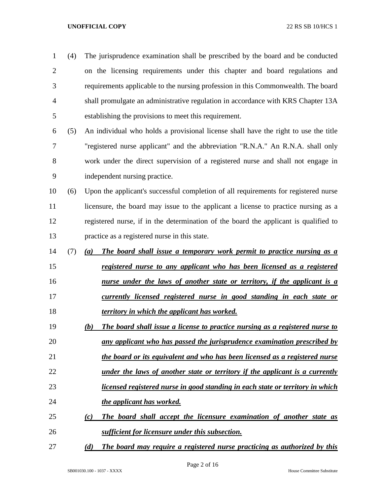| 1              | (4) | The jurisprudence examination shall be prescribed by the board and be conducted           |
|----------------|-----|-------------------------------------------------------------------------------------------|
| $\overline{2}$ |     | on the licensing requirements under this chapter and board regulations and                |
| 3              |     | requirements applicable to the nursing profession in this Commonwealth. The board         |
| 4              |     | shall promulgate an administrative regulation in accordance with KRS Chapter 13A          |
| 5              |     | establishing the provisions to meet this requirement.                                     |
| 6              | (5) | An individual who holds a provisional license shall have the right to use the title       |
| 7              |     | "registered nurse applicant" and the abbreviation "R.N.A." An R.N.A. shall only           |
| 8              |     | work under the direct supervision of a registered nurse and shall not engage in           |
| 9              |     | independent nursing practice.                                                             |
| 10             | (6) | Upon the applicant's successful completion of all requirements for registered nurse       |
| 11             |     | licensure, the board may issue to the applicant a license to practice nursing as a        |
| 12             |     | registered nurse, if in the determination of the board the applicant is qualified to      |
| 13             |     | practice as a registered nurse in this state.                                             |
| 14             | (7) | The board shall issue a temporary work permit to practice nursing as a<br>(a)             |
| 15             |     | registered nurse to any applicant who has been licensed as a registered                   |
| 16             |     | <u>nurse under the laws of another state or territory, if the applicant is a</u>          |
| 17             |     | currently licensed registered nurse in good standing in each state or                     |
| 18             |     | territory in which the applicant has worked.                                              |
| 19             |     | The board shall issue a license to practice nursing as a registered nurse to<br>(b)       |
| 20             |     | any applicant who has passed the jurisprudence examination prescribed by                  |
| 21             |     | the board or its equivalent and who has been licensed as a registered nurse               |
| 22             |     | <u>under the laws of another state or territory if the applicant is a currently</u>       |
| 23             |     | <u>licensed registered nurse in good standing in each state or territory in which</u>     |
| 24             |     | the applicant has worked.                                                                 |
| 25             |     | The board shall accept the licensure examination of another state as<br>$\left( c\right)$ |
| 26             |     | <b>sufficient for licensure under this subsection.</b>                                    |
| 27             |     | The board may require a registered nurse practicing as authorized by this<br>(d)          |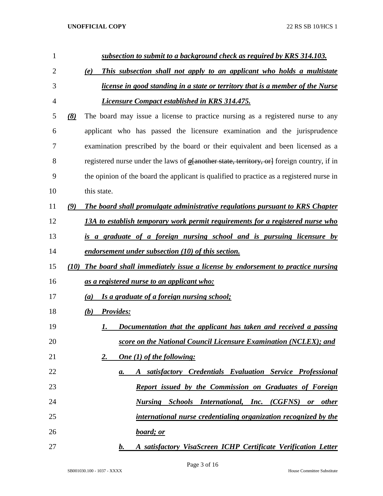| $\mathbf{1}$ |      | subsection to submit to a background check as required by KRS 314.103.                       |
|--------------|------|----------------------------------------------------------------------------------------------|
| 2            |      | This subsection shall not apply to an applicant who holds a multistate<br>(e)                |
| 3            |      | <i>license in good standing in a state or territory that is a member of the Nurse</i>        |
| 4            |      | <b>Licensure Compact established in KRS 314.475.</b>                                         |
| 5            | (8)  | The board may issue a license to practice nursing as a registered nurse to any               |
| 6            |      | applicant who has passed the licensure examination and the jurisprudence                     |
| 7            |      | examination prescribed by the board or their equivalent and been licensed as a               |
| 8            |      | registered nurse under the laws of $a$ [another state, territory, or] foreign country, if in |
| 9            |      | the opinion of the board the applicant is qualified to practice as a registered nurse in     |
| 10           |      | this state.                                                                                  |
| 11           | (9)  | The board shall promulgate administrative regulations pursuant to KRS Chapter                |
| 12           |      | 13A to establish temporary work permit requirements for a registered nurse who               |
| 13           |      | is a graduate of a foreign nursing school and is pursuing licensure by                       |
| 14           |      | endorsement under subsection (10) of this section.                                           |
| 15           | (10) | The board shall immediately issue a license by endorsement to practice nursing               |
| 16           |      | as a registered nurse to an applicant who:                                                   |
| 17           |      | Is a graduate of a foreign nursing school;<br>(a)                                            |
| 18           |      | <b>Provides:</b><br>(b)                                                                      |
| 19           |      | Documentation that the applicant has taken and received a passing<br>1.                      |
| 20           |      | score on the National Council Licensure Examination (NCLEX); and                             |
| 21           |      | <b>One</b> (1) of the following:<br>2.                                                       |
| 22           |      | A satisfactory Credentials Evaluation Service Professional<br>a.                             |
| 23           |      | Report issued by the Commission on Graduates of Foreign                                      |
| 24           |      | Nursing Schools International, Inc. (CGFNS) or other                                         |
| 25           |      | international nurse credentialing organization recognized by the                             |
| 26           |      | board; or                                                                                    |
| 27           |      | A satisfactory VisaScreen ICHP Certificate Verification Letter<br>$\bm{b}$ .                 |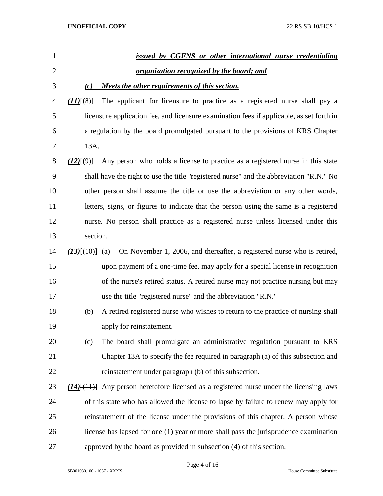| $\mathbf{1}$   |                              | issued by CGFNS or other international nurse credentialing                                      |
|----------------|------------------------------|-------------------------------------------------------------------------------------------------|
| $\overline{2}$ |                              | <u>organization recognized by the board; and</u>                                                |
| 3              | (c)                          | Meets the other requirements of this section.                                                   |
| 4              | $(11)$ $(8)$                 | The applicant for licensure to practice as a registered nurse shall pay a                       |
| 5              |                              | licensure application fee, and licensure examination fees if applicable, as set forth in        |
| 6              |                              | a regulation by the board promulgated pursuant to the provisions of KRS Chapter                 |
| 7              | 13A.                         |                                                                                                 |
| 8              | $(12)$ $\{9\}$               | Any person who holds a license to practice as a registered nurse in this state                  |
| 9              |                              | shall have the right to use the title "registered nurse" and the abbreviation "R.N." No         |
| 10             |                              | other person shall assume the title or use the abbreviation or any other words,                 |
| 11             |                              | letters, signs, or figures to indicate that the person using the same is a registered           |
| 12             |                              | nurse. No person shall practice as a registered nurse unless licensed under this                |
| 13             | section.                     |                                                                                                 |
| 14             | $(13)$ <del>[(10)]</del> (a) | On November 1, 2006, and thereafter, a registered nurse who is retired,                         |
| 15             |                              | upon payment of a one-time fee, may apply for a special license in recognition                  |
| 16             |                              | of the nurse's retired status. A retired nurse may not practice nursing but may                 |
| 17             |                              | use the title "registered nurse" and the abbreviation "R.N."                                    |
| 18             | (b)                          | A retired registered nurse who wishes to return to the practice of nursing shall                |
| 19             |                              | apply for reinstatement.                                                                        |
| 20             | (c)                          | The board shall promulgate an administrative regulation pursuant to KRS                         |
| 21             |                              | Chapter 13A to specify the fee required in paragraph (a) of this subsection and                 |
| 22             |                              | reinstatement under paragraph (b) of this subsection.                                           |
| 23             |                              | $(14)$ [ $(11)$ ] Any person heretofore licensed as a registered nurse under the licensing laws |
| 24             |                              | of this state who has allowed the license to lapse by failure to renew may apply for            |
| 25             |                              | reinstatement of the license under the provisions of this chapter. A person whose               |
| 26             |                              | license has lapsed for one (1) year or more shall pass the jurisprudence examination            |
| 27             |                              | approved by the board as provided in subsection (4) of this section.                            |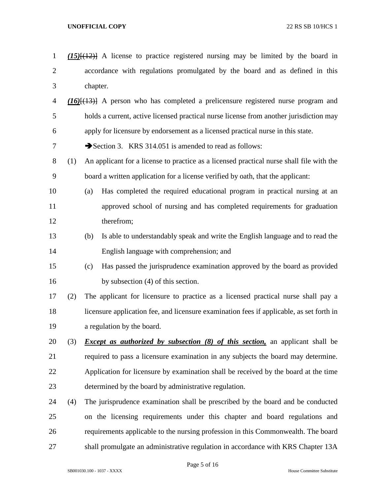*(15)*[(12)] A license to practice registered nursing may be limited by the board in accordance with regulations promulgated by the board and as defined in this chapter. *(16)*[(13)] A person who has completed a prelicensure registered nurse program and holds a current, active licensed practical nurse license from another jurisdiction may apply for licensure by endorsement as a licensed practical nurse in this state. 7 Section 3. KRS 314.051 is amended to read as follows: (1) An applicant for a license to practice as a licensed practical nurse shall file with the board a written application for a license verified by oath, that the applicant: (a) Has completed the required educational program in practical nursing at an approved school of nursing and has completed requirements for graduation therefrom; (b) Is able to understandably speak and write the English language and to read the English language with comprehension; and (c) Has passed the jurisprudence examination approved by the board as provided 16 by subsection (4) of this section. (2) The applicant for licensure to practice as a licensed practical nurse shall pay a licensure application fee, and licensure examination fees if applicable, as set forth in a regulation by the board. (3) *Except as authorized by subsection (8) of this section,* an applicant shall be required to pass a licensure examination in any subjects the board may determine. Application for licensure by examination shall be received by the board at the time determined by the board by administrative regulation. (4) The jurisprudence examination shall be prescribed by the board and be conducted on the licensing requirements under this chapter and board regulations and requirements applicable to the nursing profession in this Commonwealth. The board shall promulgate an administrative regulation in accordance with KRS Chapter 13A

Page 5 of 16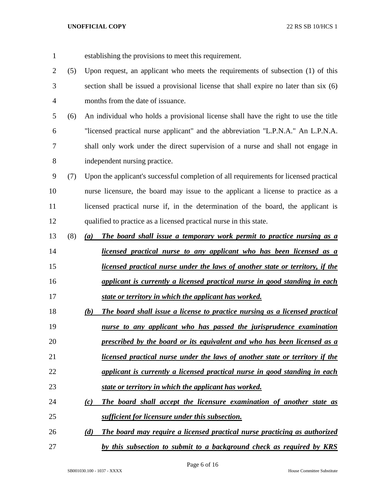establishing the provisions to meet this requirement. (5) Upon request, an applicant who meets the requirements of subsection (1) of this section shall be issued a provisional license that shall expire no later than six (6) months from the date of issuance. (6) An individual who holds a provisional license shall have the right to use the title "licensed practical nurse applicant" and the abbreviation "L.P.N.A." An L.P.N.A. shall only work under the direct supervision of a nurse and shall not engage in independent nursing practice. (7) Upon the applicant's successful completion of all requirements for licensed practical nurse licensure, the board may issue to the applicant a license to practice as a 11 licensed practical nurse if, in the determination of the board, the applicant is qualified to practice as a licensed practical nurse in this state. (8) *(a) The board shall issue a temporary work permit to practice nursing as a licensed practical nurse to any applicant who has been licensed as a licensed practical nurse under the laws of another state or territory, if the applicant is currently a licensed practical nurse in good standing in each state or territory in which the applicant has worked. (b) The board shall issue a license to practice nursing as a licensed practical nurse to any applicant who has passed the jurisprudence examination prescribed by the board or its equivalent and who has been licensed as a licensed practical nurse under the laws of another state or territory if the applicant is currently a licensed practical nurse in good standing in each state or territory in which the applicant has worked. (c) The board shall accept the licensure examination of another state as sufficient for licensure under this subsection. (d) The board may require a licensed practical nurse practicing as authorized by this subsection to submit to a background check as required by KRS*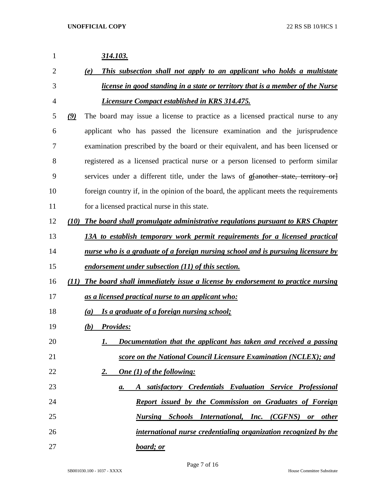| 1              |               | 314.103.                                                                              |
|----------------|---------------|---------------------------------------------------------------------------------------|
| $\overline{2}$ |               | This subsection shall not apply to an applicant who holds a multistate<br>(e)         |
| 3              |               | <i>license in good standing in a state or territory that is a member of the Nurse</i> |
| 4              |               | <i>Licensure Compact established in KRS 314.475.</i>                                  |
| 5              | $\mathcal{Q}$ | The board may issue a license to practice as a licensed practical nurse to any        |
| 6              |               | applicant who has passed the licensure examination and the jurisprudence              |
| 7              |               | examination prescribed by the board or their equivalent, and has been licensed or     |
| 8              |               | registered as a licensed practical nurse or a person licensed to perform similar      |
| 9              |               | services under a different title, under the laws of $a$ [another state, territory or] |
| 10             |               | foreign country if, in the opinion of the board, the applicant meets the requirements |
| 11             |               | for a licensed practical nurse in this state.                                         |
| 12             |               | (10) The board shall promulgate administrative regulations pursuant to KRS Chapter    |
| 13             |               | 13A to establish temporary work permit requirements for a licensed practical          |
| 14             |               | nurse who is a graduate of a foreign nursing school and is pursuing licensure by      |
| 15             |               | endorsement under subsection (11) of this section.                                    |
| 16             |               | (11) The board shall immediately issue a license by endorsement to practice nursing   |
| 17             |               | as a licensed practical nurse to an applicant who:                                    |
| 18             |               | (a) Is a graduate of a foreign nursing school;                                        |
| 19             |               | (b) Provides:                                                                         |
| 20             |               | Documentation that the applicant has taken and received a passing<br>1.               |
| 21             |               | score on the National Council Licensure Examination (NCLEX); and                      |
| 22             |               | One (1) of the following:<br><u>2.</u>                                                |
| 23             |               | A satisfactory Credentials Evaluation Service Professional<br>a.                      |
| 24             |               | Report issued by the Commission on Graduates of Foreign                               |
| 25             |               | Nursing Schools International, Inc. (CGFNS) or other                                  |
| 26             |               | international nurse credentialing organization recognized by the                      |
| 27             |               | board; or                                                                             |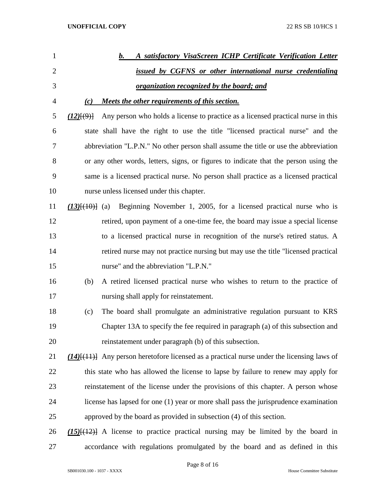| 1              | A satisfactory VisaScreen ICHP Certificate Verification Letter<br>b.                              |
|----------------|---------------------------------------------------------------------------------------------------|
| $\overline{2}$ | issued by CGFNS or other international nurse credentialing                                        |
| 3              | <u>organization recognized by the board; and</u>                                                  |
| 4              | Meets the other requirements of this section.<br>(c)                                              |
| 5              | Any person who holds a license to practice as a licensed practical nurse in this<br>(12)(9)       |
| 6              | state shall have the right to use the title "licensed practical nurse" and the                    |
| 7              | abbreviation "L.P.N." No other person shall assume the title or use the abbreviation              |
| 8              | or any other words, letters, signs, or figures to indicate that the person using the              |
| 9              | same is a licensed practical nurse. No person shall practice as a licensed practical              |
| 10             | nurse unless licensed under this chapter.                                                         |
| 11             | Beginning November 1, 2005, for a licensed practical nurse who is<br>$(13)$ $\{ (10)$ $(10)$      |
| 12             | retired, upon payment of a one-time fee, the board may issue a special license                    |
| 13             | to a licensed practical nurse in recognition of the nurse's retired status. A                     |
| 14             | retired nurse may not practice nursing but may use the title "licensed practical                  |
| 15             | nurse" and the abbreviation "L.P.N."                                                              |
| 16             | A retired licensed practical nurse who wishes to return to the practice of<br>(b)                 |
| 17             | nursing shall apply for reinstatement.                                                            |
| 18             | The board shall promulgate an administrative regulation pursuant to KRS<br>(c)                    |
| 19             | Chapter 13A to specify the fee required in paragraph (a) of this subsection and                   |
| 20             | reinstatement under paragraph (b) of this subsection.                                             |
| 21             | $(14)$ [ $(11)$ ] Any person heretofore licensed as a practical nurse under the licensing laws of |
| 22             | this state who has allowed the license to lapse by failure to renew may apply for                 |
| 23             | reinstatement of the license under the provisions of this chapter. A person whose                 |
| 24             | license has lapsed for one (1) year or more shall pass the jurisprudence examination              |
| 25             | approved by the board as provided in subsection (4) of this section.                              |
| 26             | $(15)$ [ $(12)$ ] A license to practice practical nursing may be limited by the board in          |
| 27             | accordance with regulations promulgated by the board and as defined in this                       |

Page 8 of 16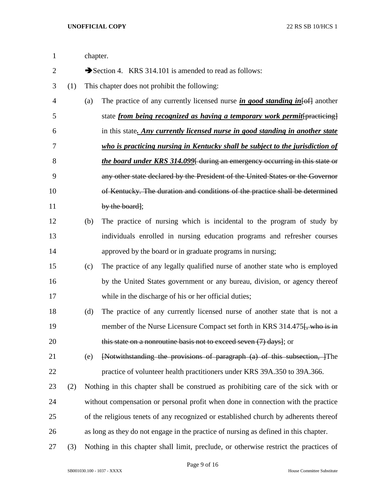| $\mathbf{1}$   |     | chapter. |                                                                                          |
|----------------|-----|----------|------------------------------------------------------------------------------------------|
| $\overline{2}$ |     |          | Section 4. KRS 314.101 is amended to read as follows:                                    |
| 3              | (1) |          | This chapter does not prohibit the following:                                            |
| $\overline{4}$ |     | (a)      | The practice of any currently licensed nurse in good standing in $\left\{\theta$ another |
| 5              |     |          | state <i>from being recognized as having a temporary work permit</i> [practicing]        |
| 6              |     |          | in this state. Any currently licensed nurse in good standing in another state            |
| 7              |     |          | who is practicing nursing in Kentucky shall be subject to the jurisdiction of            |
| 8              |     |          | the board under KRS 314.099 during an emergency occurring in this state or               |
| 9              |     |          | any other state declared by the President of the United States or the Governor           |
| 10             |     |          | of Kentucky. The duration and conditions of the practice shall be determined             |
| 11             |     |          | by the board];                                                                           |
| 12             |     | (b)      | The practice of nursing which is incidental to the program of study by                   |
| 13             |     |          | individuals enrolled in nursing education programs and refresher courses                 |
| 14             |     |          | approved by the board or in graduate programs in nursing;                                |
| 15             |     | (c)      | The practice of any legally qualified nurse of another state who is employed             |
| 16             |     |          | by the United States government or any bureau, division, or agency thereof               |
| 17             |     |          | while in the discharge of his or her official duties;                                    |
| 18             |     | (d)      | The practice of any currently licensed nurse of another state that is not a              |
| 19             |     |          | member of the Nurse Licensure Compact set forth in KRS 314.475. who is in                |
| 20             |     |          | this state on a nonroutine basis not to exceed seven $(7)$ days]; or                     |
| 21             |     | (e)      | [Notwithstanding the provisions of paragraph (a) of this subsection, ]The                |
| 22             |     |          | practice of volunteer health practitioners under KRS 39A.350 to 39A.366.                 |
| 23             | (2) |          | Nothing in this chapter shall be construed as prohibiting care of the sick with or       |
| 24             |     |          | without compensation or personal profit when done in connection with the practice        |
| 25             |     |          | of the religious tenets of any recognized or established church by adherents thereof     |
| 26             |     |          | as long as they do not engage in the practice of nursing as defined in this chapter.     |
| 27             | (3) |          | Nothing in this chapter shall limit, preclude, or otherwise restrict the practices of    |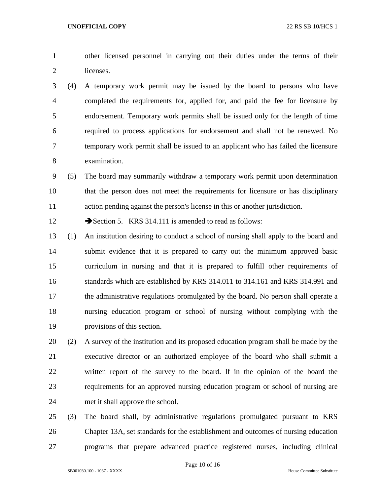other licensed personnel in carrying out their duties under the terms of their licenses.

 (4) A temporary work permit may be issued by the board to persons who have completed the requirements for, applied for, and paid the fee for licensure by endorsement. Temporary work permits shall be issued only for the length of time required to process applications for endorsement and shall not be renewed. No temporary work permit shall be issued to an applicant who has failed the licensure examination.

 (5) The board may summarily withdraw a temporary work permit upon determination that the person does not meet the requirements for licensure or has disciplinary action pending against the person's license in this or another jurisdiction.

12 Section 5. KRS 314.111 is amended to read as follows:

 (1) An institution desiring to conduct a school of nursing shall apply to the board and submit evidence that it is prepared to carry out the minimum approved basic curriculum in nursing and that it is prepared to fulfill other requirements of standards which are established by KRS 314.011 to 314.161 and KRS 314.991 and the administrative regulations promulgated by the board. No person shall operate a nursing education program or school of nursing without complying with the provisions of this section.

 (2) A survey of the institution and its proposed education program shall be made by the executive director or an authorized employee of the board who shall submit a written report of the survey to the board. If in the opinion of the board the requirements for an approved nursing education program or school of nursing are met it shall approve the school.

 (3) The board shall, by administrative regulations promulgated pursuant to KRS Chapter 13A, set standards for the establishment and outcomes of nursing education programs that prepare advanced practice registered nurses, including clinical

Page 10 of 16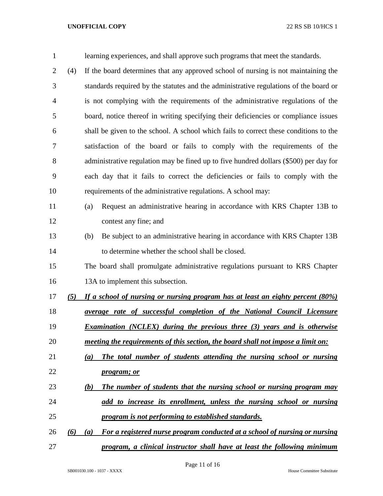| $\mathbf{1}$   |     | learning experiences, and shall approve such programs that meet the standards.        |
|----------------|-----|---------------------------------------------------------------------------------------|
| $\overline{2}$ | (4) | If the board determines that any approved school of nursing is not maintaining the    |
| 3              |     | standards required by the statutes and the administrative regulations of the board or |
| 4              |     | is not complying with the requirements of the administrative regulations of the       |
| 5              |     | board, notice thereof in writing specifying their deficiencies or compliance issues   |
| 6              |     | shall be given to the school. A school which fails to correct these conditions to the |
| 7              |     | satisfaction of the board or fails to comply with the requirements of the             |
| 8              |     | administrative regulation may be fined up to five hundred dollars (\$500) per day for |
| 9              |     | each day that it fails to correct the deficiencies or fails to comply with the        |
| 10             |     | requirements of the administrative regulations. A school may:                         |
| 11             |     | Request an administrative hearing in accordance with KRS Chapter 13B to<br>(a)        |
| 12             |     | contest any fine; and                                                                 |
| 13             |     | Be subject to an administrative hearing in accordance with KRS Chapter 13B<br>(b)     |
| 14             |     | to determine whether the school shall be closed.                                      |
| 15             |     | The board shall promulgate administrative regulations pursuant to KRS Chapter         |
| 16             |     | 13A to implement this subsection.                                                     |
| 17             | (5) | If a school of nursing or nursing program has at least an eighty percent (80%)        |
| 18             |     | average rate of successful completion of the National Council Licensure               |
| 19             |     | <b>Examination</b> (NCLEX) during the previous three (3) years and is otherwise       |
| 20             |     | meeting the requirements of this section, the board shall not impose a limit on:      |
| 21             |     | The total number of students attending the nursing school or nursing<br>(a)           |
| 22             |     | <i>program; or</i>                                                                    |
| 23             |     | The number of students that the nursing school or nursing program may<br>(b)          |
| 24             |     | add to increase its enrollment, unless the nursing school or nursing                  |
| 25             |     | program is not performing to established standards.                                   |
| 26             | (6) | For a registered nurse program conducted at a school of nursing or nursing<br>(a)     |
| 27             |     | program, a clinical instructor shall have at least the following minimum              |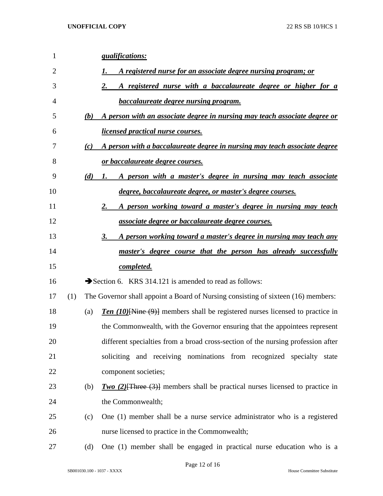| 1  |     | <i><u><b>qualifications:</b></u></i>                                                   |
|----|-----|----------------------------------------------------------------------------------------|
| 2  |     | A registered nurse for an associate degree nursing program; or                         |
| 3  |     | A registered nurse with a baccalaureate degree or higher for a<br>2.                   |
| 4  |     | <b>baccalaureate degree nursing program.</b>                                           |
| 5  | (b) | A person with an associate degree in nursing may teach associate degree or             |
| 6  |     | <i>licensed practical nurse courses.</i>                                               |
| 7  | (c) | A person with a baccalaureate degree in nursing may teach associate degree             |
| 8  |     | <u>or baccalaureate degree courses.</u>                                                |
| 9  | (d) | A person with a master's degree in nursing may teach associate<br>1.                   |
| 10 |     | degree, baccalaureate degree, or master's degree courses.                              |
| 11 |     | A person working toward a master's degree in nursing may teach<br>2.                   |
| 12 |     | <i>associate degree or baccalaureate degree courses.</i>                               |
| 13 |     | <u>A person working toward a master's degree in nursing may teach any</u><br>3.        |
| 14 |     | <u>master's degree course that the person has already successfully</u>                 |
| 15 |     | completed.                                                                             |
| 16 |     | Section 6. KRS 314.121 is amended to read as follows:                                  |
| 17 | (1) | The Governor shall appoint a Board of Nursing consisting of sixteen (16) members:      |
| 18 | (a) | <b>Ten (10)</b> [Nine (9)] members shall be registered nurses licensed to practice in  |
| 19 |     | the Commonwealth, with the Governor ensuring that the appointees represent             |
| 20 |     | different specialties from a broad cross-section of the nursing profession after       |
| 21 |     | soliciting and receiving nominations from recognized specialty<br>state                |
| 22 |     | component societies;                                                                   |
| 23 | (b) | <b>Two</b> (2) $[There (3)]$ members shall be practical nurses licensed to practice in |
| 24 |     | the Commonwealth;                                                                      |
| 25 | (c) | One (1) member shall be a nurse service administrator who is a registered              |
| 26 |     | nurse licensed to practice in the Commonwealth;                                        |
| 27 | (d) | One (1) member shall be engaged in practical nurse education who is a                  |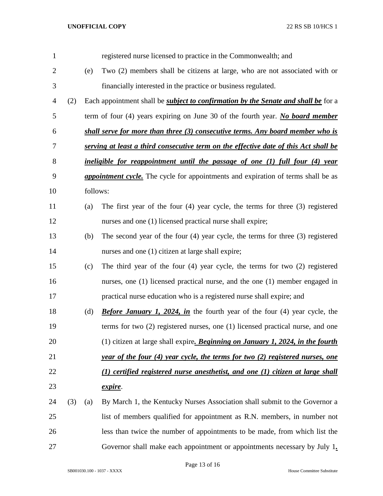| $\mathbf{1}$   |     |          | registered nurse licensed to practice in the Commonwealth; and                            |
|----------------|-----|----------|-------------------------------------------------------------------------------------------|
| $\overline{c}$ |     | (e)      | Two (2) members shall be citizens at large, who are not associated with or                |
| 3              |     |          | financially interested in the practice or business regulated.                             |
| 4              | (2) |          | Each appointment shall be <i>subject to confirmation by the Senate and shall be</i> for a |
| 5              |     |          | term of four $(4)$ years expiring on June 30 of the fourth year. No board member          |
| 6              |     |          | shall serve for more than three (3) consecutive terms. Any board member who is            |
| 7              |     |          | serving at least a third consecutive term on the effective date of this Act shall be      |
| 8              |     |          | ineligible for reappointment until the passage of one (1) full four (4) year              |
| 9              |     |          | <i>appointment cycle.</i> The cycle for appointments and expiration of terms shall be as  |
| 10             |     | follows: |                                                                                           |
| 11             |     | (a)      | The first year of the four $(4)$ year cycle, the terms for three $(3)$ registered         |
| 12             |     |          | nurses and one (1) licensed practical nurse shall expire;                                 |
| 13             |     | (b)      | The second year of the four $(4)$ year cycle, the terms for three $(3)$ registered        |
| 14             |     |          | nurses and one (1) citizen at large shall expire;                                         |
| 15             |     | (c)      | The third year of the four $(4)$ year cycle, the terms for two $(2)$ registered           |
| 16             |     |          | nurses, one (1) licensed practical nurse, and the one (1) member engaged in               |
| 17             |     |          | practical nurse education who is a registered nurse shall expire; and                     |
| 18             |     | (d)      | <b>Before January 1, 2024, in</b> the fourth year of the four (4) year cycle, the         |
| 19             |     |          | terms for two (2) registered nurses, one (1) licensed practical nurse, and one            |
| 20             |     |          | (1) citizen at large shall expire. Beginning on January 1, 2024, in the fourth            |
| 21             |     |          | year of the four (4) year cycle, the terms for two (2) registered nurses, one             |
| 22             |     |          | (1) certified registered nurse anesthetist, and one (1) citizen at large shall            |
| 23             |     |          | expire.                                                                                   |
| 24             | (3) | (a)      | By March 1, the Kentucky Nurses Association shall submit to the Governor a                |
| 25             |     |          | list of members qualified for appointment as R.N. members, in number not                  |
| 26             |     |          | less than twice the number of appointments to be made, from which list the                |
| 27             |     |          | Governor shall make each appointment or appointments necessary by July 1.                 |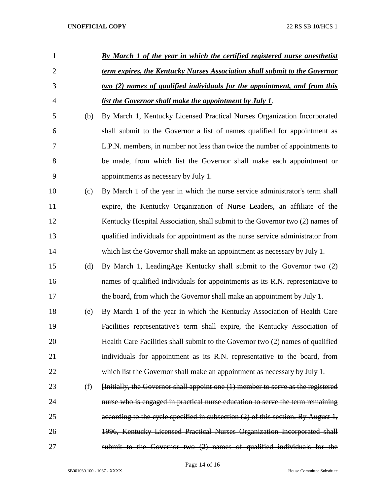| 1              |     | By March 1 of the year in which the certified registered nurse anesthetist       |
|----------------|-----|----------------------------------------------------------------------------------|
| $\overline{2}$ |     | term expires, the Kentucky Nurses Association shall submit to the Governor       |
| 3              |     | two (2) names of qualified individuals for the appointment, and from this        |
| $\overline{4}$ |     | list the Governor shall make the appointment by July 1.                          |
| 5              | (b) | By March 1, Kentucky Licensed Practical Nurses Organization Incorporated         |
| 6              |     | shall submit to the Governor a list of names qualified for appointment as        |
| 7              |     | L.P.N. members, in number not less than twice the number of appointments to      |
| 8              |     | be made, from which list the Governor shall make each appointment or             |
| 9              |     | appointments as necessary by July 1.                                             |
| 10             | (c) | By March 1 of the year in which the nurse service administrator's term shall     |
| 11             |     | expire, the Kentucky Organization of Nurse Leaders, an affiliate of the          |
| 12             |     | Kentucky Hospital Association, shall submit to the Governor two (2) names of     |
| 13             |     | qualified individuals for appointment as the nurse service administrator from    |
| 14             |     | which list the Governor shall make an appointment as necessary by July 1.        |
| 15             | (d) | By March 1, LeadingAge Kentucky shall submit to the Governor two (2)             |
| 16             |     | names of qualified individuals for appointments as its R.N. representative to    |
| 17             |     | the board, from which the Governor shall make an appointment by July 1.          |
| 18             | (e) | By March 1 of the year in which the Kentucky Association of Health Care          |
| 19             |     | Facilities representative's term shall expire, the Kentucky Association of       |
| 20             |     | Health Care Facilities shall submit to the Governor two (2) names of qualified   |
| 21             |     | individuals for appointment as its R.N. representative to the board, from        |
| 22             |     | which list the Governor shall make an appointment as necessary by July 1.        |
| 23             | (f) | [Initially, the Governor shall appoint one (1) member to serve as the registered |
| 24             |     | nurse who is engaged in practical nurse education to serve the term remaining    |
| 25             |     | according to the cycle specified in subsection (2) of this section. By August 1, |
| 26             |     | 1996, Kentucky Licensed Practical Nurses Organization Incorporated shall         |
| 27             |     | submit to the Governor two $(2)$ names of qualified individuals for the          |

Page 14 of 16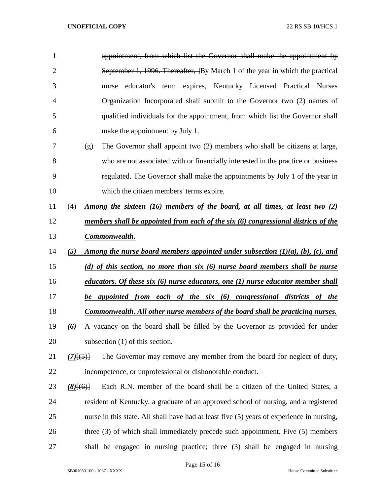| $\mathbf{1}$   |                       | appointment, from which list the Governor shall make the appointment by                   |
|----------------|-----------------------|-------------------------------------------------------------------------------------------|
| $\overline{2}$ |                       | September 1, 1996. Thereafter, By March 1 of the year in which the practical              |
| 3              |                       | educator's term expires, Kentucky Licensed Practical Nurses<br>nurse                      |
| 4              |                       | Organization Incorporated shall submit to the Governor two (2) names of                   |
| 5              |                       | qualified individuals for the appointment, from which list the Governor shall             |
| 6              |                       | make the appointment by July 1.                                                           |
| 7              | (g)                   | The Governor shall appoint two (2) members who shall be citizens at large,                |
| 8              |                       | who are not associated with or financially interested in the practice or business         |
| 9              |                       | regulated. The Governor shall make the appointments by July 1 of the year in              |
| 10             |                       | which the citizen members' terms expire.                                                  |
| 11             | (4)                   | Among the sixteen (16) members of the board, at all times, at least two (2)               |
| 12             |                       | members shall be appointed from each of the six (6) congressional districts of the        |
| 13             |                       | Commonwealth.                                                                             |
| 14             | (5)                   | Among the nurse board members appointed under subsection $(1)(a)$ , $(b)$ , $(c)$ , and   |
|                |                       |                                                                                           |
| 15             |                       | (d) of this section, no more than six (6) nurse board members shall be nurse              |
| 16             |                       | educators. Of these six (6) nurse educators, one (1) nurse educator member shall          |
| 17             |                       | be appointed from each of the six (6) congressional districts of the                      |
| 18             |                       | <u>Commonwealth. All other nurse members of the board shall be practicing nurses.</u>     |
| 19             | $\boldsymbol{\omega}$ | A vacancy on the board shall be filled by the Governor as provided for under              |
| 20             |                       | subsection $(1)$ of this section.                                                         |
| 21             | $(7)$ $(5)$           | The Governor may remove any member from the board for neglect of duty,                    |
| 22             |                       | incompetence, or unprofessional or dishonorable conduct.                                  |
| 23             | $(8)$ [(6)]           | Each R.N. member of the board shall be a citizen of the United States, a                  |
| 24             |                       | resident of Kentucky, a graduate of an approved school of nursing, and a registered       |
| 25             |                       | nurse in this state. All shall have had at least five (5) years of experience in nursing, |
| 26             |                       | three (3) of which shall immediately precede such appointment. Five (5) members           |
| 27             |                       | shall be engaged in nursing practice; three (3) shall be engaged in nursing               |

Page 15 of 16